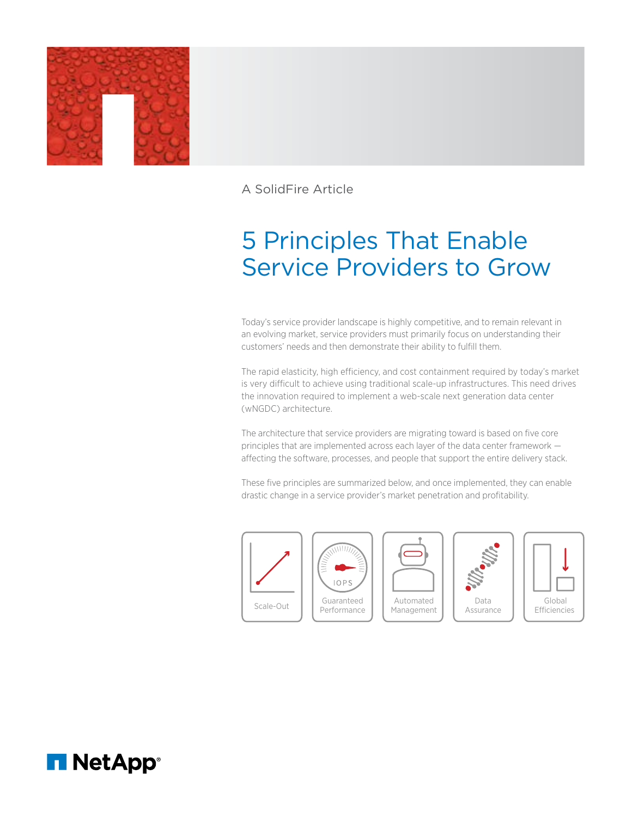

A SolidFire Article

# 5 Principles That Enable Service Providers to Grow

Today's service provider landscape is highly competitive, and to remain relevant in an evolving market, service providers must primarily focus on understanding their customers' needs and then demonstrate their ability to fulfill them.

The rapid elasticity, high efficiency, and cost containment required by today's market is very difficult to achieve using traditional scale-up infrastructures. This need drives the innovation required to implement a web-scale next generation data center (wNGDC) architecture.

The architecture that service providers are migrating toward is based on five core principles that are implemented across each layer of the data center framework affecting the software, processes, and people that support the entire delivery stack.

These five principles are summarized below, and once implemented, they can enable drastic change in a service provider's market penetration and profitability.











Performance